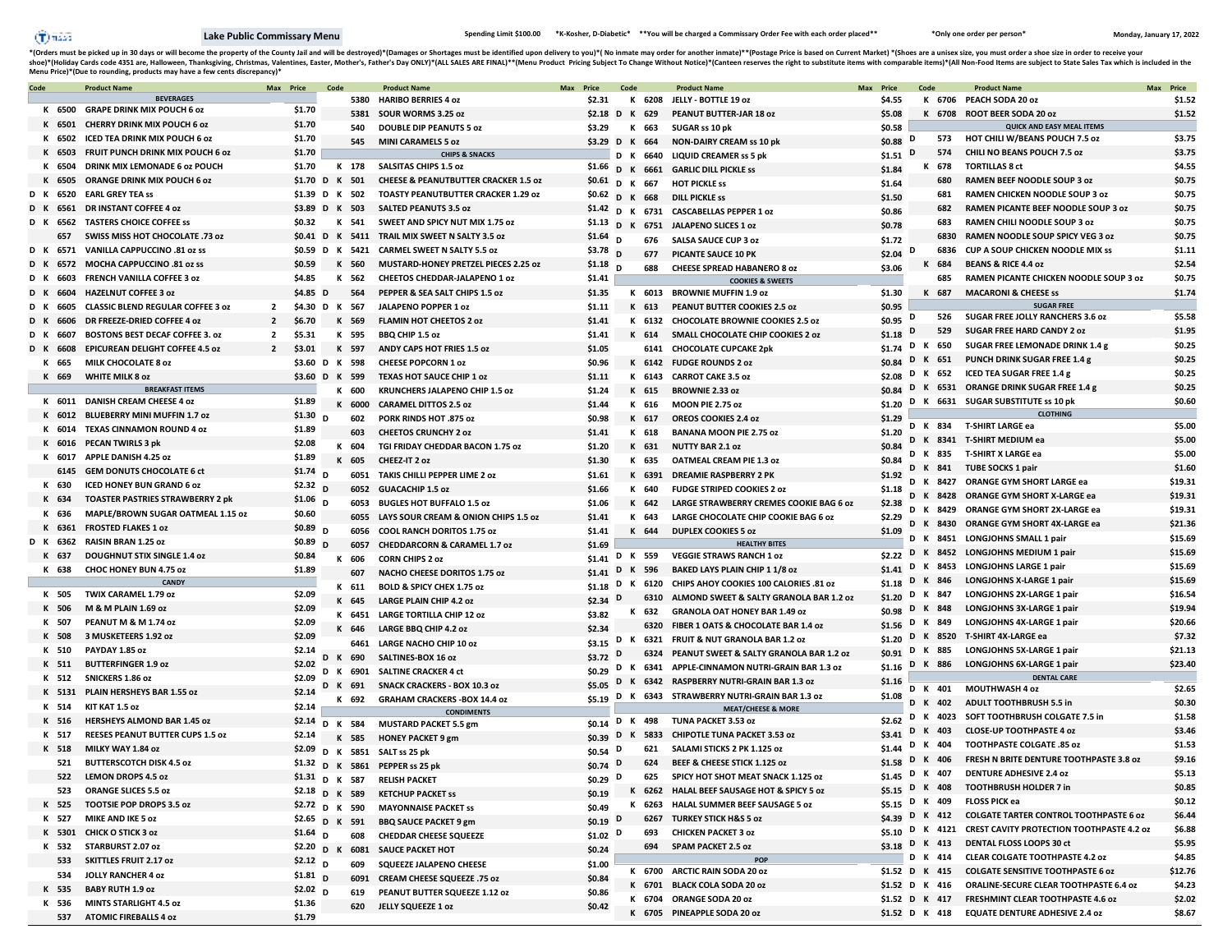$\hat{T}$ ) iiásza

\*(Orders must be picked up in 30 days or will become the property of the County Jail and will be destroyed)\*(Damages or Shortages must be identified upon delivery to you)\*( No inmate may order for another inmate)\*\*(Postage shoe)\*(Holiday Cards code 4351 are, Halloween, Thanksgiving, Christmas, Valentines, Easter, Mother's, Father's Day ONLY)\*(ALL SALES ARE FINAL)\*\*(Menu Product Pricing Subject To Change Without Notice)\*(Canteen reserves the

| Code |          | <b>Product Name</b>                      | Max Price      |                          | Code |          | <b>Product Name</b>                             | Max | Price            | Code |          | <b>Product Name</b>                                     | Max Price                        | Code   |         | <b>Product Name</b>                                       | Max Price |         |
|------|----------|------------------------------------------|----------------|--------------------------|------|----------|-------------------------------------------------|-----|------------------|------|----------|---------------------------------------------------------|----------------------------------|--------|---------|-----------------------------------------------------------|-----------|---------|
|      |          | <b>BEVERAGES</b>                         |                |                          |      | 5380     | <b>HARIBO BERRIES 4 oz</b>                      |     | \$2.31           |      | K 6208   | JELLY - BOTTLE 19 oz                                    | \$4.55                           | к      |         | 6706 PEACH SODA 20 oz                                     |           | \$1.52  |
|      |          | K 6500 GRAPE DRINK MIX POUCH 6 oz        |                | \$1.70                   |      | 5381     | SOUR WORMS 3.25 oz                              |     | \$2.18 D K 629   |      |          | PEANUT BUTTER-JAR 18 oz                                 | \$5.08                           |        |         | K 6708 ROOT BEER SODA 20 oz                               |           | \$1.52  |
|      |          | K 6501 CHERRY DRINK MIX POUCH 6 oz       |                | \$1.70                   |      | 540      | <b>DOUBLE DIP PEANUTS 5 oz</b>                  |     | \$3.29           |      | K 663    | SUGAR ss 10 pk                                          | \$0.58                           |        |         | <b>QUICK AND EASY MEAL ITEMS</b>                          |           |         |
|      |          | K 6502 ICED TEA DRINK MIX POUCH 6 oz     |                | \$1.70                   |      | 545      | <b>MINI CARAMELS 5 oz</b>                       |     | \$3.29 D K 664   |      |          | <b>NON-DAIRY CREAM ss 10 pk</b>                         | \$0.88                           | D      | 573     | HOT CHILI W/BEANS POUCH 7.5 oz                            |           | \$3.75  |
|      |          | K 6503 FRUIT PUNCH DRINK MIX POUCH 6 oz  |                | \$1.70                   |      |          | <b>CHIPS &amp; SNACKS</b>                       |     |                  |      | D K 6640 | <b>LIQUID CREAMER ss 5 pk</b>                           | \$1.51                           | D      | 574     | CHILI NO BEANS POUCH 7.5 oz                               |           | \$3.75  |
|      |          | K 6504 DRINK MIX LEMONADE 6 oz POUCH     |                | \$1.70                   |      | K 178    | <b>SALSITAS CHIPS 1.5 oz</b>                    |     | \$1.66 D K 6661  |      |          | <b>GARLIC DILL PICKLE SS</b>                            | \$1.84                           |        | K 678   | <b>TORTILLAS 8 ct</b>                                     |           | \$4.55  |
|      |          | K 6505 ORANGE DRINK MIX POUCH 6 oz       |                | \$1.70 D K 501           |      |          | <b>CHEESE &amp; PEANUTBUTTER CRACKER 1.5 oz</b> |     | \$0.61 D K 667   |      |          | <b>HOT PICKLE SS</b>                                    | \$1.64                           |        | 680     | RAMEN BEEF NOODLE SOUP 3 oz                               |           | \$0.75  |
|      | D K 6520 | <b>EARL GREY TEA ss</b>                  |                | \$1.39 D K 502           |      |          | <b>TOASTY PEANUTBUTTER CRACKER 1.29 oz</b>      |     | \$0.62 D K 668   |      |          | <b>DILL PICKLE SS</b>                                   | \$1.50                           |        | 681     | RAMEN CHICKEN NOODLE SOUP 3 oz                            |           | \$0.75  |
|      |          | D K 6561 DR INSTANT COFFEE 4 oz          |                | \$3.89 D K 503           |      |          | <b>SALTED PEANUTS 3.5 oz</b>                    |     |                  |      |          | \$1.42 D K 6731 CASCABELLAS PEPPER 1 oz                 | \$0.86                           |        | 682     | RAMEN PICANTE BEEF NOODLE SOUP 3 oz                       |           | \$0.75  |
|      |          | D K 6562 TASTERS CHOICE COFFEE SS        |                | \$0.32                   |      | K 541    | SWEET AND SPICY NUT MIX 1.75 oz                 |     |                  |      |          | \$1.13 D K 6751 JALAPENO SLICES 1 oz                    | \$0.78                           |        | 683     | RAMEN CHILI NOODLE SOUP 3 oz                              |           | \$0.75  |
|      | 657      | SWISS MISS HOT CHOCOLATE .73 oz          |                | \$0.41 D K 5411          |      |          | TRAIL MIX SWEET N SALTY 3.5 oz                  |     | $$1.64$ D        |      | 676      | <b>SALSA SAUCE CUP 3 oz</b>                             | \$1.72                           |        | 6830    | RAMEN NOODLE SOUP SPICY VEG 3 oz                          |           | \$0.75  |
|      |          | D K 6571 VANILLA CAPPUCCINO .81 oz ss    |                | \$0.59 D K 5421          |      |          | <b>CARMEL SWEET N SALTY 5.5 oz</b>              |     | $$3.78$ D        |      | 677      | PICANTE SAUCE 10 PK                                     | \$2.04                           | D      | 6836    | <b>CUP A SOUP CHICKEN NOODLE MIX SS</b>                   |           | \$1.11  |
|      |          | D K 6572 MOCHA CAPPUCCINO .81 oz ss      |                | \$0.59                   |      | K 560    | MUSTARD-HONEY PRETZEL PIECES 2.25 oz            |     | $$1.18$ D        |      | 688      | <b>CHEESE SPREAD HABANERO 8 oz</b>                      | \$3.06                           | K      | 684     | <b>BEANS &amp; RICE 4.4 oz</b>                            |           | \$2.54  |
| D K  | 6603     | FRENCH VANILLA COFFEE 3 oz               |                | \$4.85                   |      | K 562    | CHEETOS CHEDDAR-JALAPENO 1 oz                   |     | \$1.41           |      |          | <b>COOKIES &amp; SWEETS</b>                             |                                  |        | 685     | RAMEN PICANTE CHICKEN NOODLE SOUP 3 oz                    |           | \$0.75  |
|      | D K 6604 | <b>HAZELNUT COFFEE 3 oz</b>              |                | \$4.85 D                 |      | 564      | PEPPER & SEA SALT CHIPS 1.5 oz                  |     | \$1.35           |      |          | K 6013 BROWNIE MUFFIN 1.9 oz                            | \$1.30                           |        | K 687   | <b>MACARONI &amp; CHEESE SS</b>                           |           | \$1.74  |
| DK   | 6605     | <b>CLASSIC BLEND REGULAR COFFEE 3 0Z</b> | $\overline{2}$ | \$4.30 D K 567           |      |          | JALAPENO POPPER 1 oz                            |     | \$1.11           |      | K 613    | PEANUT BUTTER COOKIES 2.5 oz                            | \$0.95                           |        |         | <b>SUGAR FREE</b>                                         |           |         |
|      | D K 6606 | DR FREEZE-DRIED COFFEE 4 oz              | $\overline{2}$ | \$6.70                   |      | K 569    | <b>FLAMIN HOT CHEETOS 2 oz</b>                  |     | \$1.41           |      |          | K 6132 CHOCOLATE BROWNIE COOKIES 2.5 oz                 | \$0.95                           | D      | 526     | SUGAR FREE JOLLY RANCHERS 3.6 oz                          |           | \$5.58  |
| DK   | 6607     | <b>BOSTONS BEST DECAF COFFEE 3. oz</b>   | $\mathbf{2}$   | \$5.31                   |      | K 595    | BBQ CHIP 1.5 oz                                 |     | \$1.41           |      | K 614    | SMALL CHOCOLATE CHIP COOKIES 2 oz                       | \$1.18                           | D      | 529     | <b>SUGAR FREE HARD CANDY 2 oz</b>                         |           | \$1.95  |
|      | D K 6608 | <b>EPICUREAN DELIGHT COFFEE 4.5 oz</b>   | $\overline{2}$ | \$3.01                   |      | K 597    | ANDY CAPS HOT FRIES 1.5 oz                      |     | \$1.05           |      |          | 6141 CHOCOLATE CUPCAKE 2pk                              | \$1.74                           | D      | K 650   | SUGAR FREE LEMONADE DRINK 1.4 g                           |           | \$0.25  |
|      | K 665    | <b>MILK CHOCOLATE 8 oz</b>               |                | \$3.60 D K 598           |      |          | <b>CHEESE POPCORN 1 oz</b>                      |     | \$0.96           |      |          | K 6142 FUDGE ROUNDS 2 oz                                | \$0.84                           |        | D K 651 | <b>PUNCH DRINK SUGAR FREE 1.4 g</b>                       |           | \$0.25  |
|      | K 669    | <b>WHITE MILK 8 oz</b>                   |                | \$3.60 D K 599           |      |          | <b>TEXAS HOT SAUCE CHIP 1 02</b>                |     | \$1.11           |      |          | K 6143 CARROT CAKE 3.5 oz                               | \$2.08                           |        | D K 652 | ICED TEA SUGAR FREE 1.4 g                                 |           | \$0.25  |
|      |          | <b>BREAKFAST ITEMS</b>                   |                |                          |      | K 600    | <b>KRUNCHERS JALAPENO CHIP 1.5 oz</b>           |     | \$1.24           |      | K 615    | <b>BROWNIE 2.33 oz</b>                                  | \$0.84                           |        |         | D K 6531 ORANGE DRINK SUGAR FREE 1.4 g                    |           | \$0.25  |
|      |          | K 6011 DANISH CREAM CHEESE 4 oz          |                | \$1.89                   |      | K 6000   | <b>CARAMEL DITTOS 2.5 oz</b>                    |     | \$1.44           |      | K 616    | MOON PIE 2.75 oz                                        | \$1.20                           |        |         | D K 6631 SUGAR SUBSTITUTE ss 10 pk                        |           | \$0.60  |
|      |          | K 6012 BLUEBERRY MINI MUFFIN 1.7 oz      |                | \$1.30\$D                |      | 602      | PORK RINDS HOT .875 oz                          |     | \$0.98           |      | K 617    | <b>OREOS COOKIES 2.4 oz</b>                             | \$1.29                           |        |         | <b>CLOTHING</b>                                           |           |         |
|      |          | K 6014 TEXAS CINNAMON ROUND 4 oz         |                | \$1.89                   |      | 603      | <b>CHEETOS CRUNCHY 2 oz</b>                     |     | \$1.41           |      | K 618    | <b>BANANA MOON PIE 2.75 oz</b>                          | \$1.20                           | D K    |         | 834 T-SHIRT LARGE ea                                      |           | \$5.00  |
|      |          | K 6016 PECAN TWIRLS 3 pk                 |                | \$2.08                   |      | K 604    | TGI FRIDAY CHEDDAR BACON 1.75 oz                |     |                  |      | K 631    | <b>NUTTY BAR 2.1 oz</b>                                 | \$0.84                           |        |         | 8341 T-SHIRT MEDIUM ea                                    |           | \$5.00  |
|      |          | K 6017 APPLE DANISH 4.25 oz              |                | \$1.89                   |      | K 605    | CHEEZ-IT 2 oz                                   |     | \$1.20<br>\$1.30 |      | K 635    | <b>OATMEAL CREAM PIE 1.3 oz</b>                         | \$0.84                           | D K    |         | 835 T-SHIRT X LARGE ea                                    |           | \$5.00  |
|      |          | 6145 GEM DONUTS CHOCOLATE 6 ct           |                | $$1.74$ D                |      | 6051     |                                                 |     |                  |      |          | <b>DREAMIE RASPBERRY 2 PK</b>                           |                                  | D K    |         | 841 TUBE SOCKS 1 pair                                     |           | \$1.60  |
|      | K 630    | <b>ICED HONEY BUN GRAND 6 oz</b>         |                | \$2.32 $D$               |      |          | TAKIS CHILLI PEPPER LIME 2 02                   |     | \$1.61           |      | K 6391   |                                                         | \$1.92                           | D K    |         | 8427 ORANGE GYM SHORT LARGE ea                            |           | \$19.31 |
|      | K 634    | <b>TOASTER PASTRIES STRAWBERRY 2 pk</b>  |                | \$1.06 $D$               |      | 6052     | <b>GUACACHIP 1.5 oz</b>                         |     | \$1.66           |      | K 640    | <b>FUDGE STRIPED COOKIES 2 oz</b>                       | \$1.18                           |        |         | 8428 ORANGE GYM SHORT X-LARGE ea                          |           | \$19.31 |
|      | K 636    | MAPLE/BROWN SUGAR OATMEAL 1.15 oz        |                | \$0.60                   |      | 6053     | <b>BUGLES HOT BUFFALO 1.5 oz</b>                |     | \$1.06           |      | K 642    | LARGE STRAWBERRY CREMES COOKIE BAG 6 oz                 | \$2.38                           | D K    |         | 8429 ORANGE GYM SHORT 2X-LARGE ea                         |           | \$19.31 |
|      |          | K 6361 FROSTED FLAKES 1 oz               |                | \$0.89 $D$               |      | 6055     | LAYS SOUR CREAM & ONION CHIPS 1.5 oz            |     | \$1.41           |      | K 643    | LARGE CHOCOLATE CHIP COOKIE BAG 6 oz                    | \$2.29                           | D K    |         | 8430 ORANGE GYM SHORT 4X-LARGE ea                         |           | \$21.36 |
|      |          | D K 6362 RAISIN BRAN 1.25 oz             |                | \$0.89 $D$               |      | 6056     | <b>COOL RANCH DORITOS 1.75 oz</b>               |     | \$1.41           |      | K 644    | <b>DUPLEX COOKIES 5 02</b>                              | \$1.09                           | D      |         | 8451 LONGJOHNS SMALL 1 pair                               |           | \$15.69 |
|      | K 637    | <b>DOUGHNUT STIX SINGLE 1.4 oz</b>       |                | \$0.84                   |      | 6057     | <b>CHEDDARCORN &amp; CARAMEL 1.7 oz</b>         |     | \$1.69           |      | D K 559  | <b>HEALTHY BITES</b><br><b>VEGGIE STRAWS RANCH 1 oz</b> | \$2.22                           | D K    |         | 8452 LONGJOHNS MEDIUM 1 pair                              |           | \$15.69 |
|      | K 638    | CHOC HONEY BUN 4.75 oz                   |                | \$1.89                   |      | K 606    | <b>CORN CHIPS 2 oz</b>                          |     | \$1.41           | D    | K 596    | <b>BAKED LAYS PLAIN CHIP 1 1/8 oz</b>                   | \$1.41                           | D K    | 8453    | <b>LONGJOHNS LARGE 1 pair</b>                             |           | \$15.69 |
|      |          | <b>CANDY</b>                             |                |                          |      | 607      | NACHO CHEESE DORITOS 1.75 oz                    |     | \$1.41           |      |          | K 6120 CHIPS AHOY COOKIES 100 CALORIES .81 oz           | \$1.18                           |        | D K 846 | <b>LONGJOHNS X-LARGE 1 pair</b>                           |           | \$15.69 |
|      | K 505    | TWIX CARAMEL 1.79 oz                     |                | \$2.09                   |      | K 611    | BOLD & SPICY CHEX 1.75 oz                       |     | \$1.18           | D    |          |                                                         | \$1.20                           |        | D K 847 | LONGJOHNS 2X-LARGE 1 pair                                 |           | \$16.54 |
|      | K 506    | M & M PLAIN 1.69 oz                      |                | \$2.09                   |      | K 645    | <b>LARGE PLAIN CHIP 4.2 oz</b>                  |     | $$2.34$ D        |      |          | 6310 ALMOND SWEET & SALTY GRANOLA BAR 1.2 oz            | \$0.98                           |        | D K 848 | LONGJOHNS 3X-LARGE 1 pair                                 |           | \$19.94 |
|      | K 507    | PEANUT M & M 1.74 oz                     |                | \$2.09                   |      | K 6451   | <b>LARGE TORTILLA CHIP 12 oz</b>                |     | \$3.82           |      | K 632    | <b>GRANOLA OAT HONEY BAR 1.49 oz</b>                    | \$1.56 D K 849                   |        |         | LONGJOHNS 4X-LARGE 1 pair                                 |           | \$20.66 |
|      | K 508    | 3 MUSKETEERS 1.92 oz                     |                | \$2.09                   |      | K 646    | LARGE BBQ CHIP 4.2 oz                           |     | \$2.34           |      |          | 6320 FIBER 1 OATS & CHOCOLATE BAR 1.4 oz                |                                  |        |         | D K 8520 T-SHIRT 4X-LARGE ea                              |           | \$7.32  |
|      | K 510    | PAYDAY 1.85 oz                           |                | \$2.14                   |      | 6461     | <b>LARGE NACHO CHIP 10 oz</b>                   |     |                  |      |          | \$3.15 D K 6321 FRUIT & NUT GRANOLA BAR 1.2 oz          | \$1.20                           |        | D K 885 | LONGJOHNS 5X-LARGE 1 pair                                 |           | \$21.13 |
|      | K 511    | <b>BUTTERFINGER 1.9 oz</b>               |                | \$2.02                   |      | K 690    | SALTINES-BOX 16 oz                              |     | \$3.72 D         |      |          | 6324 PEANUT SWEET & SALTY GRANOLA BAR 1.2 oz            | \$0.91                           |        | D K 886 | LONGJOHNS 6X-LARGE 1 pair                                 |           | \$23.40 |
|      | K 512    | SNICKERS 1.86 oz                         |                | \$2.09                   |      | D K 6901 | <b>SALTINE CRACKER 4 ct</b>                     |     |                  |      |          | \$0.29 D K 6341 APPLE-CINNAMON NUTRI-GRAIN BAR 1.3 oz   | \$1.16                           |        |         | <b>DENTAL CARE</b>                                        |           |         |
|      | K 5131   | PLAIN HERSHEYS BAR 1.55 oz               |                | \$2.14                   |      | K 691    | <b>SNACK CRACKERS - BOX 10.3 oz</b>             |     | \$5.05 $D$       |      |          | K 6342 RASPBERRY NUTRI-GRAIN BAR 1.3 oz                 | \$1.16                           |        | D K 401 | <b>MOUTHWASH 4 oz</b>                                     |           | \$2.65  |
|      | K 514    | KIT KAT 1.5 oz                           |                | \$2.14                   | к    | 692      | <b>GRAHAM CRACKERS - BOX 14.4 oz</b>            |     | \$5.19           | D    |          | K 6343 STRAWBERRY NUTRI-GRAIN BAR 1.3 oz                | \$1.08                           | D<br>к | 402     | <b>ADULT TOOTHBRUSH 5.5 in</b>                            |           | \$0.30  |
|      | K 516    | <b>HERSHEYS ALMOND BAR 1.45 oz</b>       |                |                          |      |          | <b>CONDIMENTS</b>                               |     |                  | D    | K 498    | <b>MEAT/CHEESE &amp; MORE</b><br>TUNA PACKET 3.53 oz    | \$2.62                           | D<br>к |         | 4023 SOFT TOOTHBRUSH COLGATE 7.5 in                       |           | \$1.58  |
|      | K 517    | REESES PEANUT BUTTER CUPS 1.5 oz         |                | \$2.14 D K 584<br>\$2.14 |      |          | <b>MUSTARD PACKET 5.5 gm</b>                    |     | \$0.14           | к    |          | 5833 CHIPOTLE TUNA PACKET 3.53 oz                       | \$3.41                           | D      | K 403   | <b>CLOSE-UP TOOTHPASTE 4 oz</b>                           |           | \$3.46  |
|      | K 518    | MILKY WAY 1.84 oz                        |                |                          |      | K 585    | <b>HONEY PACKET 9 gm</b>                        |     | $$0.39$ D        |      | 621      | SALAMI STICKS 2 PK 1.125 oz                             | \$1.44                           |        | D K 404 | TOOTHPASTE COLGATE .85 oz                                 |           | \$1.53  |
|      | 521      | <b>BUTTERSCOTCH DISK 4.5 oz</b>          |                |                          |      |          | \$2.09 D K 5851 SALT ss 25 pk                   |     | $$0.54$ D        |      | 624      | BEEF & CHEESE STICK 1.125 oz                            | \$1.58                           |        | D K 406 | FRESH N BRITE DENTURE TOOTHPASTE 3.8 oz                   |           | \$9.16  |
|      |          |                                          |                |                          |      |          | \$1.32 D K 5861 PEPPER ss 25 pk                 |     | $$0.74$ D        |      |          |                                                         |                                  |        |         | \$1.45 D K 407 DENTURE ADHESIVE 2.4 oz                    |           | \$5.13  |
|      | 522      | <b>LEMON DROPS 4.5 oz</b>                |                |                          |      |          | \$1.31 D K 587 RELISH PACKET                    |     | $$0.29$ D        |      | 625      | SPICY HOT SHOT MEAT SNACK 1.125 oz                      |                                  |        |         | \$5.15 D K 408 TOOTHBRUSH HOLDER 7 in                     |           | \$0.85  |
|      |          | 523 ORANGE SLICES 5.5 oz                 |                | \$2.18 D K 589           |      |          | <b>KETCHUP PACKET SS</b>                        |     | \$0.19           |      |          | K 6262 HALAL BEEF SAUSAGE HOT & SPICY 5 oz              |                                  |        |         | \$5.15 D K 409 FLOSS PICK ea                              |           | \$0.12  |
|      | K 525    | <b>TOOTSIE POP DROPS 3.5 oz</b>          |                | \$2.72 D K 590           |      |          | <b>MAYONNAISE PACKET SS</b>                     |     | \$0.49           |      |          | K 6263 HALAL SUMMER BEEF SAUSAGE 5 oz                   |                                  |        |         | \$4.39 D K 412 COLGATE TARTER CONTROL TOOTHPASTE 6 oz     |           | \$6.44  |
|      | K 527    | <b>MIKE AND IKE 5 oz</b>                 |                | \$2.65 D K 591           |      |          | <b>BBQ SAUCE PACKET 9 gm</b>                    |     | \$0.19 $D$       |      |          | 6267 TURKEY STICK H&S 5 oz                              |                                  |        |         | \$5.10 D K 4121 CREST CAVITY PROTECTION TOOTHPASTE 4.2 oz |           | \$6.88  |
|      |          | K 5301 CHICK O STICK 3 oz                |                | $$1.64$ D                |      | 608      | <b>CHEDDAR CHEESE SQUEEZE</b>                   |     | \$1.02 $D$       |      |          | 693 CHICKEN PACKET 3 oz                                 |                                  |        |         | \$3.18 D K 413 DENTAL FLOSS LOOPS 30 ct                   |           | \$5.95  |
|      |          | K 532 STARBURST 2.07 oz                  |                | \$2.20 D K 6081          |      |          | <b>SAUCE PACKET HOT</b>                         |     | \$0.24           |      |          | 694 SPAM PACKET 2.5 oz                                  |                                  |        |         | <b>CLEAR COLGATE TOOTHPASTE 4.2 oz</b>                    |           | \$4.85  |
|      |          | 533 SKITTLES FRUIT 2.17 oz               |                | \$2.12 $\sqrt{D}$        |      | 609      | SQUEEZE JALAPENO CHEESE                         |     | \$1.00           |      |          | <b>POP</b>                                              |                                  |        | D K 414 |                                                           |           |         |
|      |          | 534 JOLLY RANCHER 4 oz                   |                | \$1.81 $_D$              |      | 6091     | CREAM CHEESE SQUEEZE .75 oz                     |     | \$0.84           |      |          | K 6700 ARCTIC RAIN SODA 20 oz                           | \$1.52 D K 415<br>\$1.52 D K 416 |        |         | <b>COLGATE SENSITIVE TOOTHPASTE 6 oz</b>                  |           | \$12.76 |
|      | K 535    | <b>BABY RUTH 1.9 oz</b>                  |                | \$2.02 $_D$              |      | 619      | PEANUT BUTTER SQUEEZE 1.12 oz                   |     | \$0.86           |      |          | K 6701 BLACK COLA SODA 20 oz                            |                                  |        |         | ORALINE-SECURE CLEAR TOOTHPASTE 6.4 oz                    |           | \$4.23  |
|      | K 536    | <b>MINTS STARLIGHT 4.5 oz</b>            |                | \$1.36                   |      | 620      | JELLY SQUEEZE 1 oz                              |     | \$0.42           |      |          | K 6704 ORANGE SODA 20 oz                                | \$1.52 D K 417                   |        |         | FRESHMINT CLEAR TOOTHPASTE 4.6 oz                         |           | \$2.02  |
|      |          | 537 ATOMIC FIREBALLS 4 oz                |                | \$1.79                   |      |          |                                                 |     |                  |      |          | K 6705 PINEAPPLE SODA 20 oz                             |                                  |        |         | \$1.52 D K 418 EQUATE DENTURE ADHESIVE 2.4 oz             |           | \$8.67  |